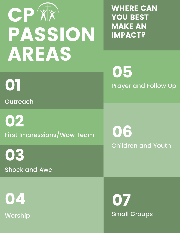# **CP** XX PASSION AREAS

WHERE CAN YOU BEST MAKE AN IMPACT?

01 Prayer and Follow Up 05

First Impressions/Wow Team 02

Children and Youth 06

Shock and Awe

**Worship** 04

03

**Outreach** 

Small Groups 07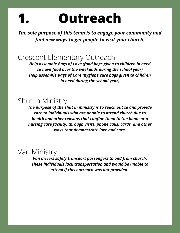#### **Outreach 1.**

*The sole purpose of this team is to engage your community and find new ways to get people to visit your church.*

#### Crescent Elementary Outreach

*Help assemble Bags of Love (food bags given to children in need to have food over the weekends during the school year) Help assemble Bags of Care (hygiene care bags given to children in need during the school year)*

#### Shut In Ministry

*The purpose of the shut in ministry is to reach out to and provide care to individuals who are unable to attend church due to health and other reasons that confine them to the home or a nursing care facility, through visits, phone calls, cards, and other ways that demonstrate love and care.*

#### Van Ministry

*Van drivers safely transport passengers to and from church. These individuals lack transportation and would be unable to attend if this outreach was not provided.*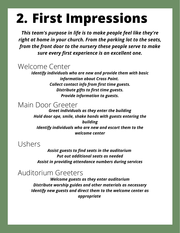### **2. First Impressions**

*This team's purpose in life is to make people feel like they're right at home in your church. From the parking lot to the seats, from the front door to the nursery these people serve to make sure every first experience is an excellent one.*

#### Welcome Center

*Identify individuals who are new and provide them with basic information about Cross Point. Collect contact info from first time guests. Distribute gifts to first time guests. Provide information to guests.*

#### Main Door Greeter

*Greet individuals as they enter the building Hold door ope, smile, shake hands with guests entering the building Identify individuals who are new and escort them to the welcome center*

#### Ushers

*Assist guests to find seats in the auditorium Put out additional seats as needed Assist in providing attendance numbers during services*

#### Auditorium Greeters

*Welcome guests as they enter auditorium Distribute worship guides and other materials as necessary Identify new guests and direct them to the welcome center as appropriate*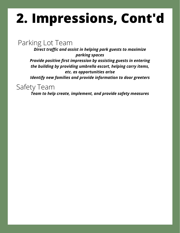## **2. Impressions, Cont'd**

#### Parking Lot Team

*Direct traffic and assist in helping park guests to maximize parking spaces*

*Provide positive first impression by assisting guests in entering the building by providing umbrella escort, helping carry items, etc. as opportunities arise*

*Identify new families and provide information to door greeters*

Safety Team

*Team to help create, implement, and provide safety measures*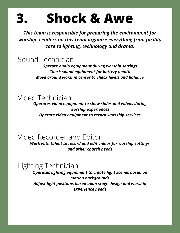#### **3. Shock & Awe**

*This team is responsible for preparing the environment for worship. Leaders on this team organize everything from facility care to lighting, technology and drama.*

Sound Technician

*Operate audio equipment during worship settings Check sound equipment for battery health Move around worship center to check levels and balance*

#### Video Technician

*Operates video equipment to show slides and videos during worship experiences Operate video equipment to record worsship services*

#### Video Recorder and Editor

*Work with talent to record and edit videos for worship settings and other church needs*

#### Lighting Technician

*Operates lighting equipment to create light scenes based on motion backgrounds Adjust light positions based upon stage design and worship experience needs*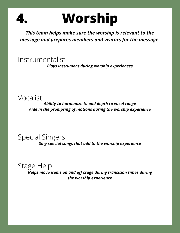

### **Worship**

*This team helps make sure the worship is relevant to the message and prepares members and visitors for the message.*

Instrumentalist *Plays instrument during worship experiences*

Vocalist

*Ability to harmonize to add depth to vocal range Aide in the prompting of motions during the worship experience*

Special Singers

*Sing special songs that add to the worship experience*

#### Stage Help

*Helps move items on and off stage during transition times during the worship experience*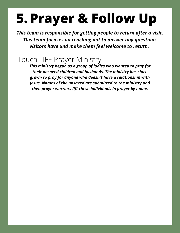## **5. Prayer & Follow Up**

*This team is responsible for getting people to return after a visit. This team focuses on reaching out to answer any questions visitors have and make them feel welcome to return.*

#### Touch LIFE Prayer Ministry

*This ministry began as a group of ladies who wanted to pray for their unsaved children and husbands. The ministry has since grown to pray for anyone who doesn;t have a relationship with Jesus. Names of the unsaved are submitted to the ministry and then prayer warriors lift these individuals in prayer by name.*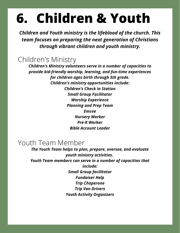### **6. Children & Youth**

*Children and Youth ministry is the lifeblood of the church. This team focuses on preparing the next generation of Christians through vibrant children and youth ministry.*

#### Children's Ministry

*Children's Ministry volunteers serve in a number of capacities to provide kid-friendly worship, learning, and fun-time experiences for children ages birth through 5th grade. Children's ministry opportunities include: Children's Check In Station Small Group Facilitator Worship Experience Planning and Prep Team Emcee Nursery Worker Pre-K Worker Bible Account Leader*

#### Youth Team Member

*The Youth Team helps to plan, prepare, oversee, and evaluate youth ministry activities. Youth Team members can serve in a number of capacities that include: Small Group facilitator Fundaiser Help Trip Chaperone Trip Van Drivers Youth Activity Organizers*